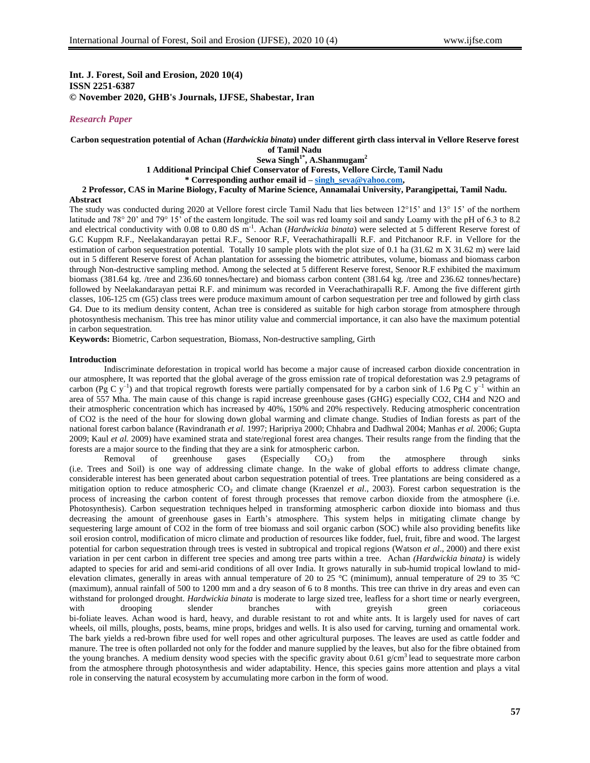## **Int. J. Forest, Soil and Erosion, 2020 10(4) ISSN 2251-6387 © November 2020, GHB's Journals, IJFSE, Shabestar, Iran**

# *Research Paper*

### **Carbon sequestration potential of Achan (***Hardwickia binata***) under different girth class interval in Vellore Reserve forest of Tamil Nadu Sewa Singh1\*, A.Shanmugam<sup>2</sup> 1 Additional Principal Chief Conservator of Forests, Vellore Circle, Tamil Nadu \* Corresponding author email id – [singh\\_seva@yahoo.com,](mailto:singh_seva@yahoo.com) 2 Professor, CAS in Marine Biology, Faculty of Marine Science, Annamalai University, Parangipettai, Tamil Nadu.**

#### **Abstract**

The study was conducted during 2020 at Vellore forest circle Tamil Nadu that lies between 12°15" and 13° 15" of the northern latitude and 78° 20' and 79° 15' of the eastern longitude. The soil was red loamy soil and sandy Loamy with the pH of 6.3 to 8.2 and electrical conductivity with 0.08 to 0.80 dS m<sup>-1</sup>. Achan (*Hardwickia binata*) were selected at 5 different Reserve forest of G.C Kuppm R.F., Neelakandarayan pettai R.F., Senoor R.F, Veerachathirapalli R.F. and Pitchanoor R.F. in Vellore for the estimation of carbon sequestration potential. Totally 10 sample plots with the plot size of 0.1 ha (31.62 m X 31.62 m) were laid out in 5 different Reserve forest of Achan plantation for assessing the biometric attributes, volume, biomass and biomass carbon through Non-destructive sampling method. Among the selected at 5 different Reserve forest, Senoor R.F exhibited the maximum biomass (381.64 kg. /tree and 236.60 tonnes/hectare) and biomass carbon content (381.64 kg. /tree and 236.62 tonnes/hectare) followed by Neelakandarayan pettai R.F. and minimum was recorded in Veerachathirapalli R.F. Among the five different girth classes, 106-125 cm (G5) class trees were produce maximum amount of carbon sequestration per tree and followed by girth class G4. Due to its medium density content, Achan tree is considered as suitable for high carbon storage from atmosphere through photosynthesis mechanism. This tree has minor utility value and commercial importance, it can also have the maximum potential in carbon sequestration.

**Keywords:** Biometric, Carbon sequestration, Biomass, Non-destructive sampling, Girth

#### **Introduction**

Indiscriminate deforestation in tropical world has become a major cause of increased carbon dioxide concentration in our atmosphere, It was reported that the global average of the gross emission rate of tropical deforestation was 2.9 petagrams of carbon (Pg C y<sup>-1</sup>) and that tropical regrowth forests were partially compensated for by a carbon sink of 1.6 Pg C y<sup>-1</sup> within an area of 557 Mha. The main cause of this change is rapid increase greenhouse gases (GHG) especially CO2, CH4 and N2O and their atmospheric concentration which has increased by 40%, 150% and 20% respectively. Reducing atmospheric concentration of CO2 is the need of the hour for slowing down global warming and climate change. Studies of Indian forests as part of the national forest carbon balance (Ravindranath *et al.* 1997; Haripriya 2000; Chhabra and Dadhwal 2004; Manhas *et al.* 2006; Gupta 2009; Kaul *et al.* 2009) have examined strata and state/regional forest area changes. Their results range from the finding that the forests are a major source to the finding that they are a sink for atmospheric carbon.<br>Removal of greenhouse gases (Especially CO<sub>2</sub>) from

Removal of greenhouse gases (Especially  $CO<sub>2</sub>$ ) ) from the atmosphere through sinks (i.e. Trees and Soil) is one way of addressing climate change. In the wake of global efforts to address climate change, considerable interest has been generated about carbon sequestration potential of trees. Tree plantations are being considered as a mitigation option to reduce atmospheric CO<sub>2</sub> and climate change (Kraenzel *et al.*, 2003). Forest carbon sequestration is the process of increasing the carbon content of forest through processes that remove carbon dioxide from the atmosphere (i.e. Photosynthesis). Carbon sequestration techniques helped in transforming atmospheric carbon dioxide into biomass and thus decreasing the amount of greenhouse gases in Earth's atmosphere. This system helps in mitigating climate change by sequestering large amount of CO2 in the form of tree biomass and soil organic carbon (SOC) while also providing benefits like soil erosion control, modification of micro climate and production of resources like fodder, fuel, fruit, fibre and wood. The largest potential for carbon sequestration through trees is vested in subtropical and tropical regions (Watson *et al*., 2000) and there exist variation in per cent carbon in different tree species and among tree parts within a tree. Achan *(Hardwickia binata)* is widely adapted to species for arid and semi-arid conditions of all over India. It grows naturally in sub-humid tropical lowland to midelevation climates, generally in areas with annual temperature of 20 to 25 °C (minimum), annual temperature of 29 to 35 °C (maximum), annual rainfall of 500 to 1200 mm and a dry season of 6 to 8 months. This tree can thrive in dry areas and even can withstand for prolonged drought. *Hardwickia binata* is moderate to large sized tree, leafless for a short time or nearly evergreen, with drooping slender branches with greyish green coriaceous bi-foliate leaves. Achan wood is hard, heavy, and durable resistant to rot and white ants. It is largely used for naves of cart wheels, oil mills, ploughs, posts, beams, mine props, bridges and wells. It is also used for carving, turning and ornamental work. The bark yields a red-brown fibre used for well ropes and other agricultural purposes. The leaves are used as cattle fodder and manure. The tree is often pollarded not only for the fodder and manure supplied by the leaves, but also for the fibre obtained from the young branches. A medium density wood species with the specific gravity about 0.61  $g/cm<sup>3</sup>$  lead to sequestrate more carbon from the atmosphere through photosynthesis and wider adaptability. Hence, this species gains more attention and plays a vital role in conserving the natural ecosystem by accumulating more carbon in the form of wood.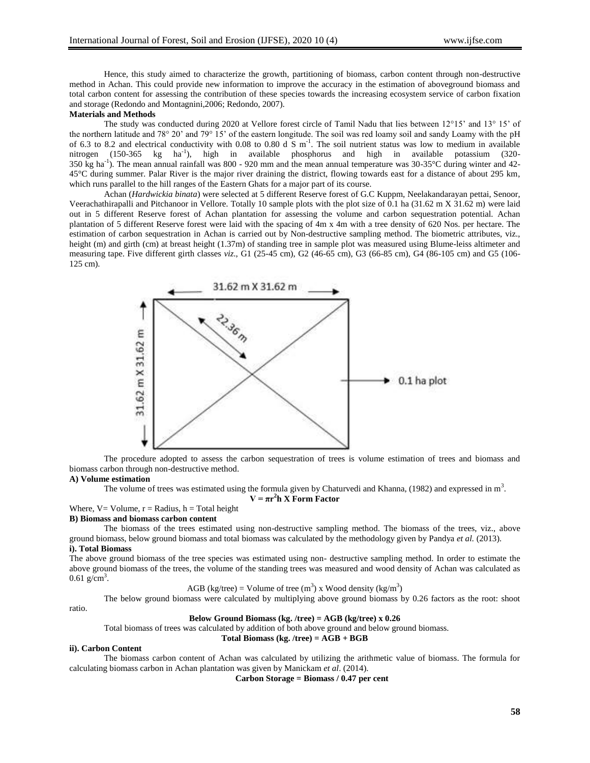Hence, this study aimed to characterize the growth, partitioning of biomass, carbon content through non-destructive method in Achan. This could provide new information to improve the accuracy in the estimation of aboveground biomass and total carbon content for assessing the contribution of these species towards the increasing ecosystem service of carbon fixation and storage (Redondo and Montagnini,2006; Redondo, 2007).

## **Materials and Methods**

The study was conducted during 2020 at Vellore forest circle of Tamil Nadu that lies between 12°15' and 13° 15' of the northern latitude and 78° 20" and 79° 15" of the eastern longitude. The soil was red loamy soil and sandy Loamy with the pH of 6.3 to 8.2 and electrical conductivity with 0.08 to 0.80 d  $\overline{S}$  m<sup>-1</sup>. The soil nutrient status was low to medium in available nitrogen (150-365 kg ha-1 ), high in available phosphorus and high in available potassium (320- 350 kg ha<sup>-1</sup>). The mean annual rainfall was 800 - 920 mm and the mean annual temperature was 30-35 $^{\circ}$ C during winter and 42-45°C during summer. Palar River is the major river draining the district, flowing towards east for a distance of about 295 km, which runs parallel to the hill ranges of the Eastern Ghats for a major part of its course.

Achan (*Hardwickia binata*) were selected at 5 different Reserve forest of G.C Kuppm, Neelakandarayan pettai, Senoor, Veerachathirapalli and Pitchanoor in Vellore. Totally 10 sample plots with the plot size of 0.1 ha (31.62 m X 31.62 m) were laid out in 5 different Reserve forest of Achan plantation for assessing the volume and carbon sequestration potential. Achan plantation of 5 different Reserve forest were laid with the spacing of 4m x 4m with a tree density of 620 Nos. per hectare. The estimation of carbon sequestration in Achan is carried out by Non-destructive sampling method. The biometric attributes, viz., height (m) and girth (cm) at breast height (1.37m) of standing tree in sample plot was measured using Blume-leiss altimeter and measuring tape. Five different girth classes *viz*., G1 (25-45 cm), G2 (46-65 cm), G3 (66-85 cm), G4 (86-105 cm) and G5 (106- 125 cm).



The procedure adopted to assess the carbon sequestration of trees is volume estimation of trees and biomass and biomass carbon through non-destructive method.

#### **A) Volume estimation**

The volume of trees was estimated using the formula given by Chaturvedi and Khanna, (1982) and expressed in  $m<sup>3</sup>$ .

 $V = \pi r^2 h X$  Form Factor

Where,  $V = Volume$ ,  $r = Radius$ ,  $h = Total height$ 

## **B) Biomass and biomass carbon content**

The biomass of the trees estimated using non-destructive sampling method. The biomass of the trees, viz., above ground biomass, below ground biomass and total biomass was calculated by the methodology given by Pandya *et al.* (2013).

### **i). Total Biomass**

The above ground biomass of the tree species was estimated using non- destructive sampling method. In order to estimate the above ground biomass of the trees, the volume of the standing trees was measured and wood density of Achan was calculated as  $0.61 \text{ g/cm}^3$ .

AGB (kg/tree) = Volume of tree (m<sup>3</sup>) x Wood density (kg/m<sup>3</sup>)

The below ground biomass were calculated by multiplying above ground biomass by 0.26 factors as the root: shoot

ratio.

### **Below Ground Biomass (kg. /tree) = AGB (kg/tree) x 0.26**

Total biomass of trees was calculated by addition of both above ground and below ground biomass.

### **Total Biomass (kg. /tree) = AGB + BGB**

#### **ii). Carbon Content**

The biomass carbon content of Achan was calculated by utilizing the arithmetic value of biomass. The formula for calculating biomass carbon in Achan plantation was given by Manickam *et al*. (2014).

**Carbon Storage = Biomass / 0.47 per cent**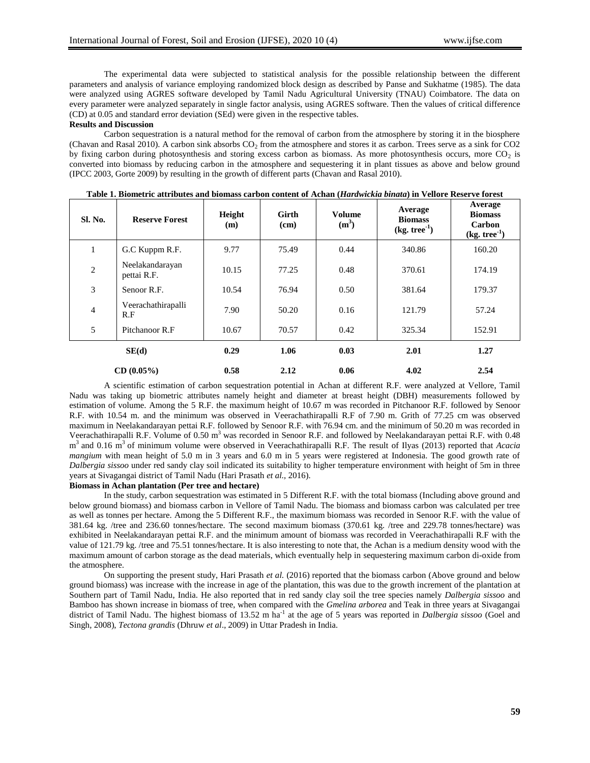The experimental data were subjected to statistical analysis for the possible relationship between the different parameters and analysis of variance employing randomized block design as described by Panse and Sukhatme (1985). The data were analyzed using AGRES software developed by Tamil Nadu Agricultural University (TNAU) Coimbatore. The data on every parameter were analyzed separately in single factor analysis, using AGRES software. Then the values of critical difference (CD) at 0.05 and standard error deviation (SEd) were given in the respective tables.

#### **Results and Discussion**

Carbon sequestration is a natural method for the removal of carbon from the atmosphere by storing it in the biosphere (Chavan and Rasal 2010). A carbon sink absorbs  $CO_2$  from the atmosphere and stores it as carbon. Trees serve as a sink for  $CO2$ by fixing carbon during photosynthesis and storing excess carbon as biomass. As more photosynthesis occurs, more  $CO<sub>2</sub>$  is converted into biomass by reducing carbon in the atmosphere and sequestering it in plant tissues as above and below ground (IPCC 2003, Gorte 2009) by resulting in the growth of different parts (Chavan and Rasal 2010).

| Sl. No.        | <b>Reserve Forest</b>          | Height<br>(m) | Girth<br>(cm) | <b>Volume</b><br>(m <sup>3</sup> ) | Average<br><b>Biomass</b><br>$(kg. tree-1)$ | Average<br><b>Biomass</b><br><b>Carbon</b><br>$(kg, tree-1)$ |
|----------------|--------------------------------|---------------|---------------|------------------------------------|---------------------------------------------|--------------------------------------------------------------|
| 1              | G.C Kuppm R.F.                 | 9.77          | 75.49         | 0.44                               | 340.86                                      | 160.20                                                       |
| $\overline{2}$ | Neelakandarayan<br>pettai R.F. | 10.15         | 77.25         | 0.48                               | 370.61                                      | 174.19                                                       |
| 3              | Senoor R.F.                    | 10.54         | 76.94         | 0.50                               | 381.64                                      | 179.37                                                       |
| $\overline{4}$ | Veerachathirapalli<br>R.F      | 7.90          | 50.20         | 0.16                               | 121.79                                      | 57.24                                                        |
| 5              | Pitchanoor R.F                 | 10.67         | 70.57         | 0.42                               | 325.34                                      | 152.91                                                       |
| SE(d)          |                                | 0.29          | 1.06          | 0.03                               | 2.01                                        | 1.27                                                         |
|                | CD(0.05%)                      | 0.58          | 2.12          | 0.06                               | 4.02                                        | 2.54                                                         |

| Table 1. Biometric attributes and biomass carbon content of Achan ( <i>Hardwickia binata</i> ) in Vellore Reserve forest |  |  |  |  |  |
|--------------------------------------------------------------------------------------------------------------------------|--|--|--|--|--|
|                                                                                                                          |  |  |  |  |  |

A scientific estimation of carbon sequestration potential in Achan at different R.F. were analyzed at Vellore, Tamil Nadu was taking up biometric attributes namely height and diameter at breast height (DBH) measurements followed by estimation of volume. Among the 5 R.F. the maximum height of 10.67 m was recorded in Pitchanoor R.F. followed by Senoor R.F. with 10.54 m. and the minimum was observed in Veerachathirapalli R.F of 7.90 m. Grith of 77.25 cm was observed maximum in Neelakandarayan pettai R.F. followed by Senoor R.F. with 76.94 cm. and the minimum of 50.20 m was recorded in Veerachathirapalli R.F. Volume of 0.50 m<sup>3</sup> was recorded in Senoor R.F. and followed by Neelakandarayan pettai R.F. with 0.48 m<sup>3</sup> and 0.16 m<sup>3</sup> of minimum volume were observed in Veerachathirapalli R.F. The result of Ilyas (2013) reported that *Acacia mangium* with mean height of 5.0 m in 3 years and 6.0 m in 5 years were registered at Indonesia. The good growth rate of *Dalbergia sissoo* under red sandy clay soil indicated its suitability to higher temperature environment with height of 5m in three years at Sivagangai district of Tamil Nadu (Hari Prasath *et al.,* 2016).

#### **Biomass in Achan plantation (Per tree and hectare)**

In the study, carbon sequestration was estimated in 5 Different R.F. with the total biomass (Including above ground and below ground biomass) and biomass carbon in Vellore of Tamil Nadu. The biomass and biomass carbon was calculated per tree as well as tonnes per hectare. Among the 5 Different R.F., the maximum biomass was recorded in Senoor R.F. with the value of 381.64 kg. /tree and 236.60 tonnes/hectare. The second maximum biomass (370.61 kg. /tree and 229.78 tonnes/hectare) was exhibited in Neelakandarayan pettai R.F. and the minimum amount of biomass was recorded in Veerachathirapalli R.F with the value of 121.79 kg. /tree and 75.51 tonnes/hectare. It is also interesting to note that, the Achan is a medium density wood with the maximum amount of carbon storage as the dead materials, which eventually help in sequestering maximum carbon di-oxide from the atmosphere.

On supporting the present study, Hari Prasath *et al.* (2016) reported that the biomass carbon (Above ground and below ground biomass) was increase with the increase in age of the plantation, this was due to the growth increment of the plantation at Southern part of Tamil Nadu, India. He also reported that in red sandy clay soil the tree species namely *Dalbergia sissoo* and Bamboo has shown increase in biomass of tree, when compared with the *Gmelina arborea* and Teak in three years at Sivagangai district of Tamil Nadu. The highest biomass of 13.52 m ha<sup>-1</sup> at the age of 5 years was reported in *Dalbergia sissoo* (Goel and Singh, 2008), *Tectona grandis* (Dhruw *et al*., 2009) in Uttar Pradesh in India.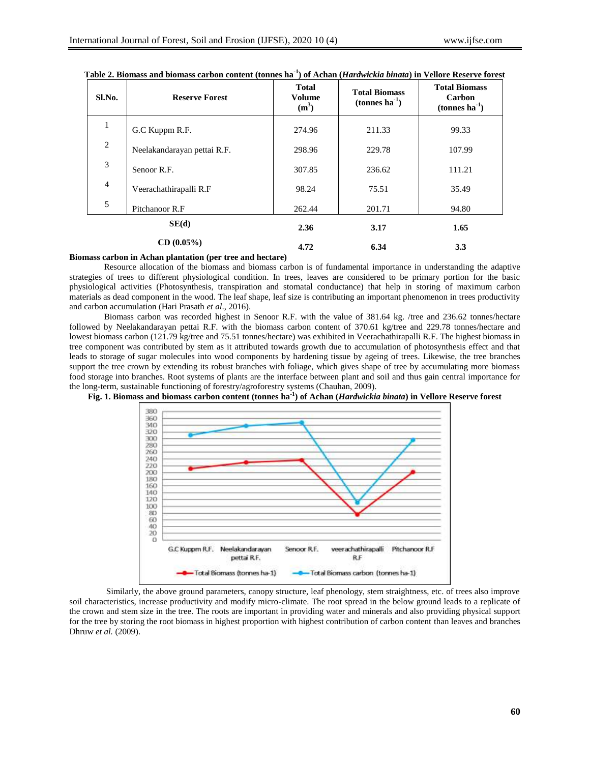| Sl.No.              | <b>Reserve Forest</b>       | <b>Total</b><br><b>Volume</b><br>$(m^3)$ | <b>Total Biomass</b><br>$(tonnes ha-1)$ | <b>Total Biomass</b><br>Carbon<br>$(tonnes ha-1)$ |
|---------------------|-----------------------------|------------------------------------------|-----------------------------------------|---------------------------------------------------|
| 1                   | G.C Kuppm R.F.              | 274.96                                   | 211.33                                  | 99.33                                             |
| $\overline{2}$      | Neelakandarayan pettai R.F. | 298.96                                   | 229.78                                  | 107.99                                            |
| 3                   | Senoor R.F.                 | 307.85                                   | 236.62                                  | 111.21                                            |
| $\overline{4}$      | Veerachathirapalli R.F      | 98.24                                    | 75.51                                   | 35.49                                             |
| 5<br>Pitchanoor R.F |                             | 262.44                                   | 201.71                                  | 94.80                                             |
| SE(d)<br>CD(0.05%)  |                             | 2.36                                     | 3.17                                    | 1.65                                              |
|                     |                             | 4.72                                     | 6.34                                    | 3.3                                               |

| Table 2. Biomass and biomass carbon content (tonnes ha <sup>-1</sup> ) of Achan ( <i>Hardwickia binata</i> ) in Vellore Reserve forest |  |  |  |  |
|----------------------------------------------------------------------------------------------------------------------------------------|--|--|--|--|
|----------------------------------------------------------------------------------------------------------------------------------------|--|--|--|--|

## **Biomass carbon in Achan plantation (per tree and hectare)**

Resource allocation of the biomass and biomass carbon is of fundamental importance in understanding the adaptive strategies of trees to different physiological condition. In trees, leaves are considered to be primary portion for the basic physiological activities (Photosynthesis, transpiration and stomatal conductance) that help in storing of maximum carbon materials as dead component in the wood. The leaf shape, leaf size is contributing an important phenomenon in trees productivity and carbon accumulation (Hari Prasath *et al*., 2016).

Biomass carbon was recorded highest in Senoor R.F. with the value of 381.64 kg. /tree and 236.62 tonnes/hectare followed by Neelakandarayan pettai R.F. with the biomass carbon content of 370.61 kg/tree and 229.78 tonnes/hectare and lowest biomass carbon (121.79 kg/tree and 75.51 tonnes/hectare) was exhibited in Veerachathirapalli R.F. The highest biomass in tree component was contributed by stem as it attributed towards growth due to accumulation of photosynthesis effect and that leads to storage of sugar molecules into wood components by hardening tissue by ageing of trees. Likewise, the tree branches support the tree crown by extending its robust branches with foliage, which gives shape of tree by accumulating more biomass food storage into branches. Root systems of plants are the interface between plant and soil and thus gain central importance for the long-term, sustainable functioning of forestry/agroforestry systems (Chauhan, 2009).





Similarly, the above ground parameters, canopy structure, leaf phenology, stem straightness, etc. of trees also improve soil characteristics, increase productivity and modify micro-climate. The root spread in the below ground leads to a replicate of the crown and stem size in the tree. The roots are important in providing water and minerals and also providing physical support for the tree by storing the root biomass in highest proportion with highest contribution of carbon content than leaves and branches Dhruw *et al.* (2009).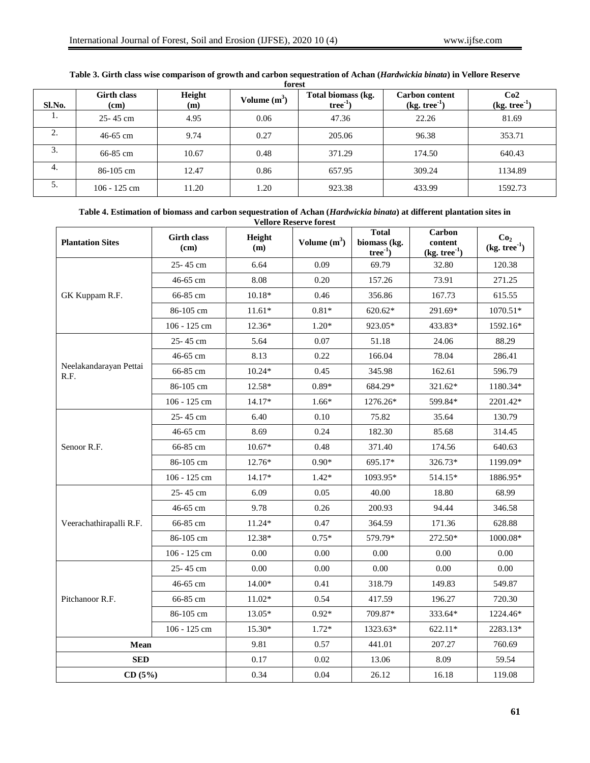| Sl.No. | <b>Girth class</b><br>(cm) | Height<br>(m) | Volume $(m^3)$ | Total biomass (kg.<br>$tree^{-1}$ | <b>Carbon content</b><br>$(kg. tree-1)$ | Co2<br>$(kg. tree-1)$ |
|--------|----------------------------|---------------|----------------|-----------------------------------|-----------------------------------------|-----------------------|
| 1.     | $25 - 45$ cm               | 4.95          | 0.06           | 47.36                             | 22.26                                   | 81.69                 |
| 2.     | $46 - 65$ cm               | 9.74          | 0.27           | 205.06                            | 96.38                                   | 353.71                |
| 3.     | 66-85 cm                   | 10.67         | 0.48           | 371.29                            | 174.50                                  | 640.43                |
| 4.     | 86-105 cm                  | 12.47         | 0.86           | 657.95                            | 309.24                                  | 1134.89               |
| 5.     | $106 - 125$ cm             | 11.20         | 1.20           | 923.38                            | 433.99                                  | 1592.73               |

#### **Table 3. Girth class wise comparison of growth and carbon sequestration of Achan (***Hardwickia binata***) in Vellore Reserve forest**

## **Table 4. Estimation of biomass and carbon sequestration of Achan (***Hardwickia binata***) at different plantation sites in Vellore Reserve forest**

| <b>Plantation Sites</b>        | <b>Girth class</b><br>(cm) | Height<br>(m) | Volume $(m^3)$ | <b>Total</b><br>biomass (kg.<br>$tree^{-1}$ ) | Carbon<br>content<br>$(kg. tree-1)$ | Co <sub>2</sub><br>$(kg. tree-1)$ |
|--------------------------------|----------------------------|---------------|----------------|-----------------------------------------------|-------------------------------------|-----------------------------------|
|                                | 25-45 cm                   | 6.64          | 0.09           | 69.79                                         | 32.80                               | 120.38                            |
|                                | 46-65 cm                   | 8.08          | 0.20           | 157.26                                        | 73.91                               | 271.25                            |
| GK Kuppam R.F.                 | 66-85 cm                   | $10.18*$      | 0.46           | 356.86                                        | 167.73                              | 615.55                            |
|                                | 86-105 cm                  | $11.61*$      | $0.81*$        | 620.62*                                       | 291.69*                             | 1070.51*                          |
|                                | 106 - 125 cm               | $12.36*$      | $1.20*$        | 923.05*                                       | 433.83*                             | 1592.16*                          |
|                                | 25-45 cm                   | 5.64          | 0.07           | 51.18                                         | 24.06                               | 88.29                             |
|                                | 46-65 cm                   | 8.13          | 0.22           | 166.04                                        | 78.04                               | 286.41                            |
| Neelakandarayan Pettai<br>R.F. | 66-85 cm                   | $10.24*$      | 0.45           | 345.98                                        | 162.61                              | 596.79                            |
|                                | 86-105 cm                  | 12.58*        | $0.89*$        | 684.29*                                       | 321.62*                             | 1180.34*                          |
|                                | 106 - 125 cm               | $14.17*$      | $1.66*$        | 1276.26*                                      | 599.84*                             | 2201.42*                          |
|                                | 25-45 cm                   | 6.40          | 0.10           | 75.82                                         | 35.64                               | 130.79                            |
|                                | 46-65 cm                   | 8.69          | 0.24           | 182.30                                        | 85.68                               | 314.45                            |
| Senoor R.F.                    | 66-85 cm                   | $10.67*$      | 0.48           | 371.40                                        | 174.56                              | 640.63                            |
|                                | 86-105 cm                  | 12.76*        | $0.90*$        | 695.17*                                       | 326.73*                             | 1199.09*                          |
|                                | 106 - 125 cm               | 14.17*        | $1.42*$        | 1093.95*                                      | 514.15*                             | 1886.95*                          |
|                                | 25-45 cm                   | 6.09          | 0.05           | 40.00                                         | 18.80                               | 68.99                             |
|                                | 46-65 cm                   | 9.78          | 0.26           | 200.93                                        | 94.44                               | 346.58                            |
| Veerachathirapalli R.F.        | 66-85 cm                   | 11.24*        | 0.47           | 364.59                                        | 171.36                              | 628.88                            |
|                                | 86-105 cm                  | 12.38*        | $0.75*$        | 579.79*                                       | 272.50*                             | 1000.08*                          |
|                                | 106 - 125 cm               | 0.00          | 0.00           | 0.00                                          | 0.00                                | 0.00                              |
|                                | 25-45 cm                   | 0.00          | 0.00           | 0.00                                          | 0.00                                | 0.00                              |
|                                | 46-65 cm                   | 14.00*        | 0.41           | 318.79                                        | 149.83                              | 549.87                            |
| Pitchanoor R.F.                | 66-85 cm                   | $11.02*$      | 0.54           | 417.59                                        | 196.27                              | 720.30                            |
|                                | 86-105 cm                  | 13.05*        | $0.92*$        | 709.87*                                       | 333.64*                             | 1224.46*                          |
|                                | 106 - 125 cm               | 15.30*        | $1.72*$        | 1323.63*                                      | 622.11*                             | 2283.13*                          |
| Mean                           | 9.81                       | 0.57          | 441.01         | 207.27                                        | 760.69                              |                                   |
| <b>SED</b>                     | 0.17                       | 0.02          | 13.06          | 8.09                                          | 59.54                               |                                   |
| CD(5%)                         | 0.34                       | 0.04          | 26.12          | 16.18                                         | 119.08                              |                                   |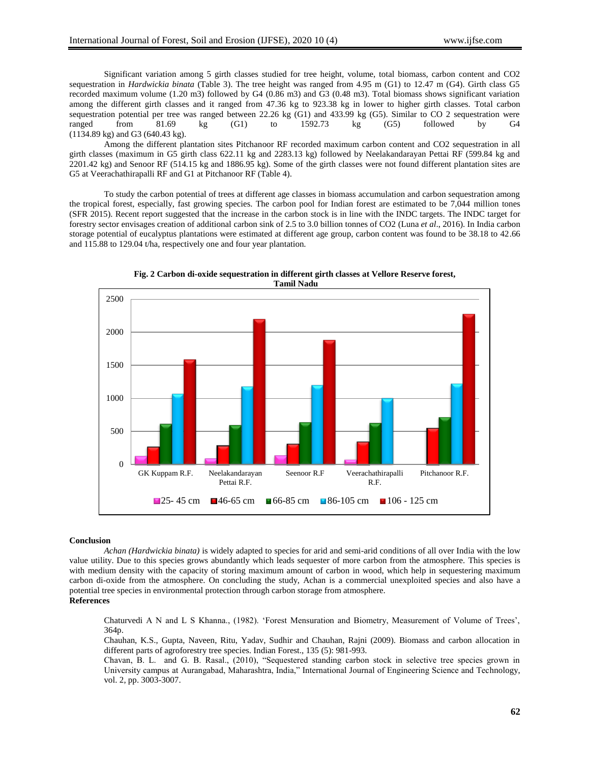Significant variation among 5 girth classes studied for tree height, volume, total biomass, carbon content and CO2 sequestration in *Hardwickia binata* (Table 3). The tree height was ranged from 4.95 m (G1) to 12.47 m (G4). Girth class G5 recorded maximum volume (1.20 m3) followed by G4 (0.86 m3) and G3 (0.48 m3). Total biomass shows significant variation among the different girth classes and it ranged from 47.36 kg to 923.38 kg in lower to higher girth classes. Total carbon sequestration potential per tree was ranged between  $22.26 \text{ kg}$  (G1) and  $433.99 \text{ kg}$  (G5). Similar to CO 2 sequestration were ranged from 81.69 kg (G1) to 1592.73 kg (G5) followed by G4 (1134.89 kg) and G3 (640.43 kg).

Among the different plantation sites Pitchanoor RF recorded maximum carbon content and CO2 sequestration in all girth classes (maximum in G5 girth class 622.11 kg and 2283.13 kg) followed by Neelakandarayan Pettai RF (599.84 kg and 2201.42 kg) and Senoor RF (514.15 kg and 1886.95 kg). Some of the girth classes were not found different plantation sites are G5 at Veerachathirapalli RF and G1 at Pitchanoor RF (Table 4).

To study the carbon potential of trees at different age classes in biomass accumulation and carbon sequestration among the tropical forest, especially, fast growing species. The carbon pool for Indian forest are estimated to be 7,044 million tones (SFR 2015). Recent report suggested that the increase in the carbon stock is in line with the INDC targets. The INDC target for forestry sector envisages creation of additional carbon sink of 2.5 to 3.0 billion tonnes of CO2 (Luna *et al*., 2016). In India carbon storage potential of eucalyptus plantations were estimated at different age group, carbon content was found to be 38.18 to 42.66 and 115.88 to 129.04 t/ha, respectively one and four year plantation.



**Fig. 2 Carbon di-oxide sequestration in different girth classes at Vellore Reserve forest, Tamil Nadu**

#### **Conclusion**

*Achan (Hardwickia binata)* is widely adapted to species for arid and semi-arid conditions of all over India with the low value utility. Due to this species grows abundantly which leads sequester of more carbon from the atmosphere. This species is with medium density with the capacity of storing maximum amount of carbon in wood, which help in sequestering maximum carbon di-oxide from the atmosphere. On concluding the study, Achan is a commercial unexploited species and also have a potential tree species in environmental protection through carbon storage from atmosphere.

## **References**

Chaturvedi A N and L S Khanna., (1982). "Forest Mensuration and Biometry, Measurement of Volume of Trees", 364p.

Chauhan, K.S., Gupta, Naveen, Ritu, Yadav, Sudhir and Chauhan, Rajni (2009). Biomass and carbon allocation in different parts of agroforestry tree species. Indian Forest., 135 (5): 981-993.

Chavan, B. L. and G. B. Rasal., (2010), "Sequestered standing carbon stock in selective tree species grown in University campus at Aurangabad, Maharashtra, India," International Journal of Engineering Science and Technology, vol. 2, pp. 3003-3007.